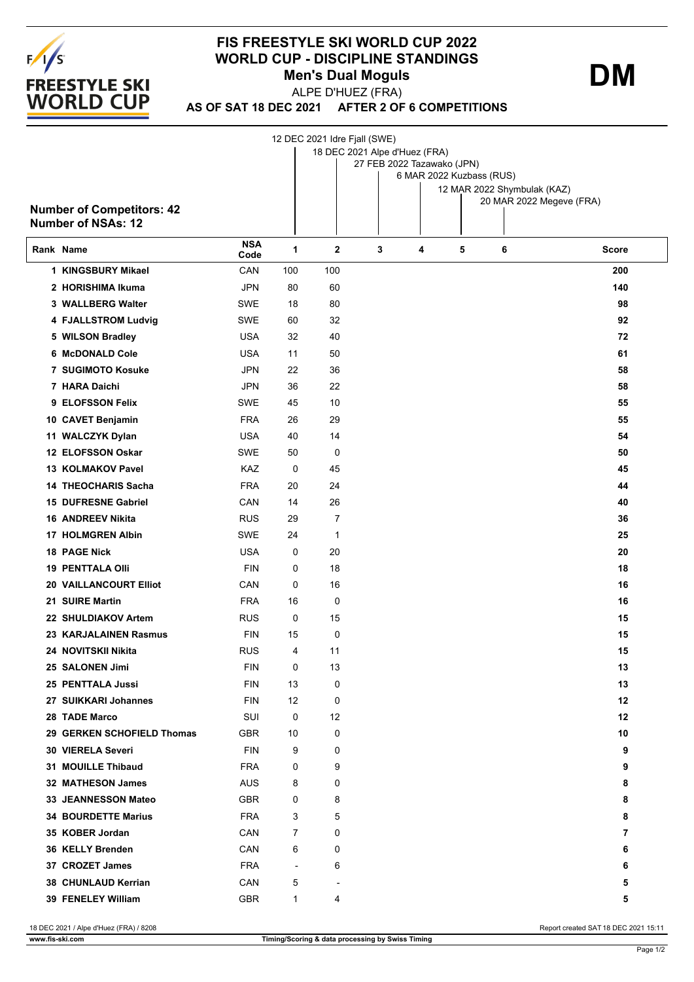

## **FIS FREESTYLE SKI WORLD CUP 2022 WORLD CUP - DISCIPLINE STANDINGS Men's Dual Moguls**

ALPE D'HUEZ (FRA)

**DM**

**AS OF SAT 18 DEC 2021 AFTER 2 OF 6 COMPETITIONS**

|                                  |            |                          | 12 DEC 2021 Idre Fjall (SWE)  |   |   |   |                                                         |              |  |  |  |
|----------------------------------|------------|--------------------------|-------------------------------|---|---|---|---------------------------------------------------------|--------------|--|--|--|
|                                  |            |                          | 18 DEC 2021 Alpe d'Huez (FRA) |   |   |   |                                                         |              |  |  |  |
|                                  |            |                          | 27 FEB 2022 Tazawako (JPN)    |   |   |   |                                                         |              |  |  |  |
|                                  |            |                          | 6 MAR 2022 Kuzbass (RUS)      |   |   |   |                                                         |              |  |  |  |
|                                  |            |                          |                               |   |   |   | 12 MAR 2022 Shymbulak (KAZ)<br>20 MAR 2022 Megeve (FRA) |              |  |  |  |
| <b>Number of Competitors: 42</b> |            |                          |                               |   |   |   |                                                         |              |  |  |  |
| <b>Number of NSAs: 12</b>        |            |                          |                               |   |   |   |                                                         |              |  |  |  |
|                                  | <b>NSA</b> |                          |                               |   |   |   |                                                         |              |  |  |  |
| Rank Name                        | Code       | 1                        | $\mathbf{2}$                  | 3 | 4 | 5 | 6                                                       | <b>Score</b> |  |  |  |
| 1 KINGSBURY Mikael               | CAN        | 100                      | 100                           |   |   |   |                                                         | 200          |  |  |  |
| 2 HORISHIMA Ikuma                | <b>JPN</b> | 80                       | 60                            |   |   |   |                                                         | 140          |  |  |  |
| 3 WALLBERG Walter                | SWE        | 18                       | 80                            |   |   |   |                                                         | 98           |  |  |  |
| 4 FJALLSTROM Ludvig              | SWE        | 60                       | 32                            |   |   |   |                                                         | 92           |  |  |  |
| 5 WILSON Bradley                 | <b>USA</b> | 32                       | 40                            |   |   |   |                                                         | 72           |  |  |  |
| 6 McDONALD Cole                  | <b>USA</b> | 11                       | 50                            |   |   |   |                                                         | 61           |  |  |  |
| 7 SUGIMOTO Kosuke                | <b>JPN</b> | 22                       | 36                            |   |   |   |                                                         | 58           |  |  |  |
| 7 HARA Daichi                    | JPN        | 36                       | 22                            |   |   |   |                                                         | 58           |  |  |  |
| 9 ELOFSSON Felix                 | SWE        | 45                       | 10                            |   |   |   |                                                         | 55           |  |  |  |
| 10 CAVET Benjamin                | <b>FRA</b> | 26                       | 29                            |   |   |   |                                                         | 55           |  |  |  |
| 11 WALCZYK Dylan                 | <b>USA</b> | 40                       | 14                            |   |   |   |                                                         | 54           |  |  |  |
| 12 ELOFSSON Oskar                | SWE        | 50                       | 0                             |   |   |   |                                                         | 50           |  |  |  |
| 13 KOLMAKOV Pavel                | KAZ        | 0                        | 45                            |   |   |   |                                                         | 45           |  |  |  |
| <b>14 THEOCHARIS Sacha</b>       | <b>FRA</b> | 20                       | 24                            |   |   |   |                                                         | 44           |  |  |  |
| 15 DUFRESNE Gabriel              | CAN        | 14                       | 26                            |   |   |   |                                                         | 40           |  |  |  |
| <b>16 ANDREEV Nikita</b>         | <b>RUS</b> | 29                       | 7                             |   |   |   |                                                         | 36           |  |  |  |
| <b>17 HOLMGREN Albin</b>         | SWE        | 24                       | $\mathbf 1$                   |   |   |   |                                                         | 25           |  |  |  |
| <b>18 PAGE Nick</b>              | <b>USA</b> | 0                        | 20                            |   |   |   |                                                         | 20           |  |  |  |
| <b>19 PENTTALA OIII</b>          | <b>FIN</b> | 0                        | 18                            |   |   |   |                                                         | 18           |  |  |  |
| <b>20 VAILLANCOURT Elliot</b>    | CAN        | 0                        | 16                            |   |   |   |                                                         | 16           |  |  |  |
| 21 SUIRE Martin                  | <b>FRA</b> | 16                       | 0                             |   |   |   |                                                         | 16           |  |  |  |
| 22 SHULDIAKOV Artem              | <b>RUS</b> | 0                        | 15                            |   |   |   |                                                         | 15           |  |  |  |
| 23 KARJALAINEN Rasmus            | <b>FIN</b> | 15                       | 0                             |   |   |   |                                                         | 15           |  |  |  |
| 24 NOVITSKII Nikita              | <b>RUS</b> | 4                        | 11                            |   |   |   |                                                         | 15           |  |  |  |
| 25 SALONEN Jimi                  | <b>FIN</b> | 0                        | 13                            |   |   |   |                                                         | 13           |  |  |  |
| 25 PENTTALA Jussi                | <b>FIN</b> | 13                       | 0                             |   |   |   |                                                         | 13           |  |  |  |
| 27 SUIKKARI Johannes             | <b>FIN</b> | 12                       | 0                             |   |   |   |                                                         | 12           |  |  |  |
| 28 TADE Marco                    | SUI        | 0                        | 12                            |   |   |   |                                                         | 12           |  |  |  |
| 29 GERKEN SCHOFIELD Thomas       | <b>GBR</b> | 10                       | 0                             |   |   |   |                                                         | 10           |  |  |  |
| <b>30 VIERELA Severi</b>         | <b>FIN</b> | 9                        | 0                             |   |   |   |                                                         | 9            |  |  |  |
| <b>31 MOUILLE Thibaud</b>        | FRA        | 0                        | 9                             |   |   |   |                                                         | 9            |  |  |  |
| 32 MATHESON James                | AUS        | 8                        | 0                             |   |   |   |                                                         | 8            |  |  |  |
| <b>33 JEANNESSON Mateo</b>       | <b>GBR</b> | 0                        | 8                             |   |   |   |                                                         | 8            |  |  |  |
| <b>34 BOURDETTE Marius</b>       | FRA        | 3                        | 5                             |   |   |   |                                                         | 8            |  |  |  |
|                                  |            |                          |                               |   |   |   |                                                         |              |  |  |  |
| 35 KOBER Jordan                  | CAN        | 7                        | 0                             |   |   |   |                                                         | 7            |  |  |  |
| 36 KELLY Brenden                 | CAN        | 6                        | 0                             |   |   |   |                                                         | 6            |  |  |  |
| 37 CROZET James                  | FRA        | $\overline{\phantom{a}}$ | 6                             |   |   |   |                                                         | 6            |  |  |  |
| 38 CHUNLAUD Kerrian              | CAN        | 5                        | $\blacksquare$                |   |   |   |                                                         | 5            |  |  |  |
| 39 FENELEY William               | <b>GBR</b> | $\mathbf{1}$             | 4                             |   |   |   |                                                         | 5            |  |  |  |

18 DEC 2021 / Alpe d'Huez (FRA) / 8208 Report created SAT 18 DEC 2021 15:11